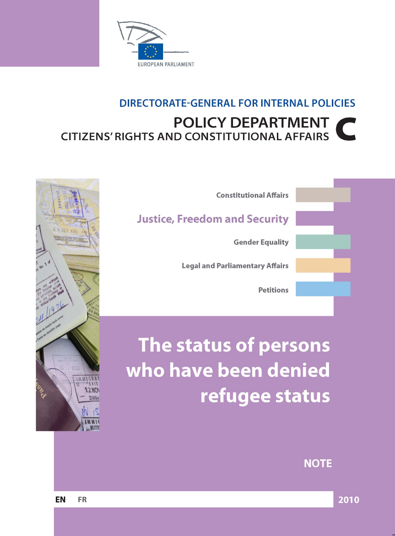

# **DIRECTORATE-GENERAL FOR INTERNAL POLICIES POLICY DEPARTMENT CITIZENS' RIGHTS AND CONSTITUTIONAL AFFAIRS**



# The status of persons who have been denied refugee status



**NOTE**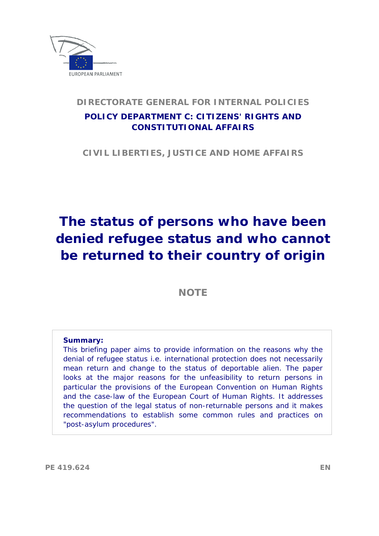

#### **DIRECTORATE GENERAL FOR INTERNAL POLICIES**

### **POLICY DEPARTMENT C: CITIZENS' RIGHTS AND CONSTITUTIONAL AFFAIRS**

**CIVIL LIBERTIES, JUSTICE AND HOME AFFAIRS** 

# **The status of persons who have been denied refugee status and who cannot be returned to their country of origin**

**NOTE**

#### **Summary:**

This briefing paper aims to provide information on the reasons why the denial of refugee status i.e. international protection does not necessarily mean return and change to the status of deportable alien. The paper looks at the major reasons for the unfeasibility to return persons in particular the provisions of the European Convention on Human Rights and the case-law of the European Court of Human Rights. It addresses the question of the legal status of non-returnable persons and it makes recommendations to establish some common rules and practices on "post-asylum procedures".

**PE 419.624 EN**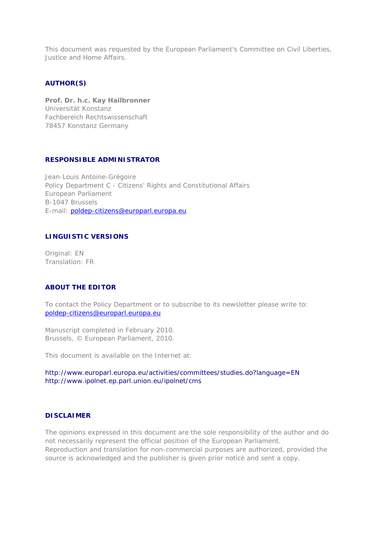This document was requested by the European Parliament's Committee on Civil Liberties, Justice and Home Affairs.

#### **AUTHOR(S)**

*Prof. Dr. h.c. Kay Hailbronner*  Universität Konstanz Fachbereich Rechtswissenschaft 78457 Konstanz Germany

#### **RESPONSIBLE ADMINISTRATOR**

Jean-Louis Antoine-Grégoire Policy Department C - Citizens' Rights and Constitutional Affairs European Parliament B-1047 Brussels E-mail: [poldep-citizens@europarl.europa.eu](mailto:poldep-citizens@europarl.europa.eu)

#### **LINGUISTIC VERSIONS**

Original: EN Translation: FR

#### **ABOUT THE EDITOR**

To contact the Policy Department or to subscribe to its newsletter please write to: [poldep-citizens@europarl.europa.eu](mailto:poldep-citizens@europarl.europa.eu)

Manuscript completed in February 2010. Brussels, © European Parliament, 2010.

This document is available on the Internet at:

<http://www.europarl.europa.eu/activities/committees/studies.do?language=EN> <http://www.ipolnet.ep.parl.union.eu/ipolnet/cms>

#### **DISCLAIMER**

The opinions expressed in this document are the sole responsibility of the author and do not necessarily represent the official position of the European Parliament. Reproduction and translation for non-commercial purposes are authorized, provided the source is acknowledged and the publisher is given prior notice and sent a copy.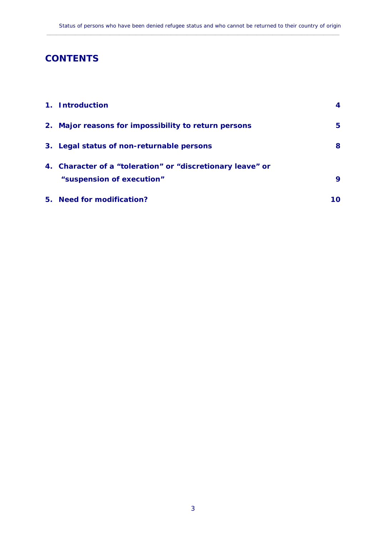# **CONTENTS**

| 1. Introduction                                                                         | 4  |
|-----------------------------------------------------------------------------------------|----|
| 2. Major reasons for impossibility to return persons                                    | 5. |
| 3. Legal status of non-returnable persons                                               | 8  |
| 4. Character of a "toleration" or "discretionary leave" or<br>"suspension of execution" | 9  |
| 5. Need for modification?                                                               | 10 |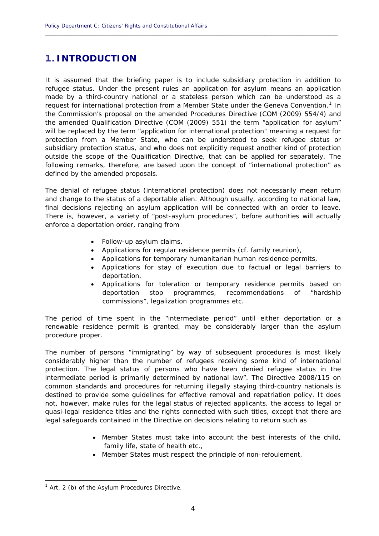## <span id="page-5-0"></span>**1. INTRODUCTION**

It is assumed that the briefing paper is to include subsidiary protection in addition to refugee status. Under the present rules an application for asylum means an application made by a third-country national or a stateless person which can be understood as a request for international protection from a Member State under the Geneva Convention.<sup>[1](#page-5-1)</sup> In the Commission's proposal on the amended Procedures Directive (COM (2009) 554/4) and the amended Qualification Directive (COM (2009) 551) the term "application for asylum" will be replaced by the term "application for international protection" meaning a request for protection from a Member State, who can be understood to seek refugee status or subsidiary protection status, and who does not explicitly request another kind of protection outside the scope of the Qualification Directive, that can be applied for separately. The following remarks, therefore, are based upon the concept of "international protection" as defined by the amended proposals.

**\_\_\_\_\_\_\_\_\_\_\_\_\_\_\_\_\_\_\_\_\_\_\_\_\_\_\_\_\_\_\_\_\_\_\_\_\_\_\_\_\_\_\_\_\_\_\_\_\_\_\_\_\_\_\_\_\_\_\_\_\_\_\_\_\_\_\_\_\_\_\_\_\_\_\_\_\_\_\_\_\_\_\_\_\_\_\_\_\_\_\_\_**

The denial of refugee status (international protection) does not necessarily mean return and change to the status of a deportable alien. Although usually, according to national law, final decisions rejecting an asylum application will be connected with an order to leave. There is, however, a variety of "post-asylum procedures", before authorities will actually enforce a deportation order, ranging from

- Follow-up asylum claims,
- Applications for regular residence permits (cf. family reunion),
- Applications for temporary humanitarian human residence permits,
- Applications for stay of execution due to factual or legal barriers to deportation,
- Applications for toleration or temporary residence permits based on deportation stop programmes, recommendations of "hardship commissions", legalization programmes etc.

The period of time spent in the "intermediate period" until either deportation or a renewable residence permit is granted, may be considerably larger than the asylum procedure proper.

The number of persons "immigrating" by way of subsequent procedures is most likely considerably higher than the number of refugees receiving some kind of international protection. The legal status of persons who have been denied refugee status in the intermediate period is primarily determined by national law". The Directive 2008/115 on common standards and procedures for returning illegally staying third-country nationals is destined to provide some guidelines for effective removal and repatriation policy. It does not, however, make rules for the legal status of rejected applicants, the access to legal or quasi-legal residence titles and the rights connected with such titles, except that there are legal safeguards contained in the Directive on decisions relating to return such as

- Member States must take into account the best interests of the child, family life, state of health etc.,
- Member States must respect the principle of non-refoulement,

<span id="page-5-1"></span><sup>&</sup>lt;sup>1</sup> Art. 2 (b) of the Asylum Procedures Directive.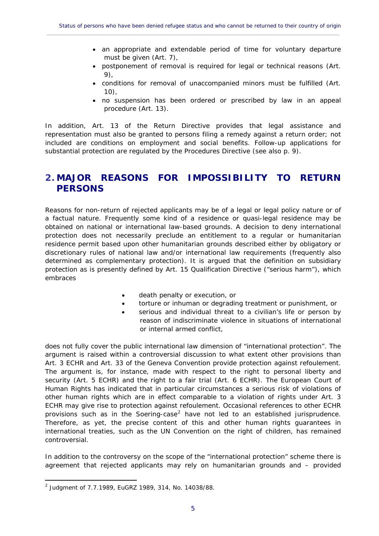- an appropriate and extendable period of time for voluntary departure must be given (Art. 7),
- postponement of removal is required for legal or technical reasons (Art. 9),
- conditions for removal of unaccompanied minors must be fulfilled (Art. 10),
- no suspension has been ordered or prescribed by law in an appeal procedure (Art. 13).

In addition, Art. 13 of the Return Directive provides that legal assistance and representation must also be granted to persons filing a remedy against a return order; not included are conditions on employment and social benefits. Follow-up applications for substantial protection are regulated by the Procedures Directive (see also p. 9).

#### <span id="page-6-0"></span>**2. MAJOR REASONS FOR IMPOSSIBILITY TO RETURN PERSONS**

Reasons for non-return of rejected applicants may be of a legal or legal policy nature or of a factual nature. Frequently some kind of a residence or quasi-legal residence may be obtained on national or international law-based grounds. A decision to deny international protection does not necessarily preclude an entitlement to a regular or humanitarian residence permit based upon other humanitarian grounds described either by obligatory or discretionary rules of national law and/or international law requirements (frequently also determined as complementary protection). It is argued that the definition on subsidiary protection as is presently defined by Art. 15 Qualification Directive ("serious harm"), which embraces

- death penalty or execution, or
- torture or inhuman or degrading treatment or punishment, or
- serious and individual threat to a civilian's life or person by reason of indiscriminate violence in situations of international or internal armed conflict,

does not fully cover the public international law dimension of "international protection". The argument is raised within a controversial discussion to what extent other provisions than Art. 3 ECHR and Art. 33 of the Geneva Convention provide protection against refoulement. The argument is, for instance, made with respect to the right to personal liberty and security (Art. 5 ECHR) and the right to a fair trial (Art. 6 ECHR). The European Court of Human Rights has indicated that in particular circumstances a serious risk of violations of other human rights which are in effect comparable to a violation of rights under Art. 3 ECHR may give rise to protection against refoulement. Occasional references to other ECHR provisions such as in the Soering-case<sup>[2](#page-6-1)</sup> have not led to an established jurisprudence. Therefore, as yet, the precise content of this and other human rights guarantees in international treaties, such as the UN Convention on the right of children, has remained controversial.

In addition to the controversy on the scope of the "international protection" scheme there is agreement that rejected applicants may rely on humanitarian grounds and – provided

<span id="page-6-1"></span><sup>2</sup> Judgment of 7.7.1989, EuGRZ 1989, 314, No. 14038/88.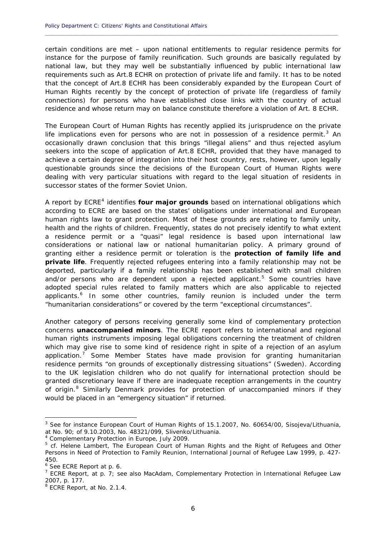certain conditions are met – upon national entitlements to regular residence permits for instance for the purpose of family reunification. Such grounds are basically regulated by national law, but they may well be substantially influenced by public international law requirements such as Art.8 ECHR on protection of private life and family. It has to be noted that the concept of Art.8 ECHR has been considerably expanded by the European Court of Human Rights recently by the concept of protection of private life (regardless of family connections) for persons who have established close links with the country of actual residence and whose return may on balance constitute therefore a violation of Art. 8 ECHR.

**\_\_\_\_\_\_\_\_\_\_\_\_\_\_\_\_\_\_\_\_\_\_\_\_\_\_\_\_\_\_\_\_\_\_\_\_\_\_\_\_\_\_\_\_\_\_\_\_\_\_\_\_\_\_\_\_\_\_\_\_\_\_\_\_\_\_\_\_\_\_\_\_\_\_\_\_\_\_\_\_\_\_\_\_\_\_\_\_\_\_\_\_**

The European Court of Human Rights has recently applied its jurisprudence on the private life implications even for persons who are not in possession of a residence permit.<sup>[3](#page-7-0)</sup> An occasionally drawn conclusion that this brings "illegal aliens" and thus rejected asylum seekers into the scope of application of Art.8 ECHR, provided that they have managed to achieve a certain degree of integration into their host country, rests, however, upon legally questionable grounds since the decisions of the European Court of Human Rights were dealing with very particular situations with regard to the legal situation of residents in successor states of the former Soviet Union.

A report by ECRE<sup>[4](#page-7-1)</sup> identifies **four major grounds** based on international obligations which according to ECRE are based on the states' obligations under international and European human rights law to grant protection. Most of these grounds are relating to family unity, health and the rights of children. Frequently, states do not precisely identify to what extent a residence permit or a "quasi" legal residence is based upon international law considerations or national law or national humanitarian policy. A primary ground of granting either a residence permit or toleration is the **protection of family life and private life**. Frequently rejected refugees entering into a family relationship may not be deported, particularly if a family relationship has been established with small children and/or persons who are dependent upon a rejected applicant.<sup>[5](#page-7-2)</sup> Some countries have adopted special rules related to family matters which are also applicable to rejected applicants.<sup>[6](#page-7-3)</sup> In some other countries, family reunion is included under the term "humanitarian considerations" or covered by the term "exceptional circumstances".

Another category of persons receiving generally some kind of complementary protection concerns **unaccompanied minors**. The ECRE report refers to international and regional human rights instruments imposing legal obligations concerning the treatment of children which may give rise to some kind of residence right in spite of a rejection of an asylum application.[7](#page-7-4) Some Member States have made provision for granting humanitarian residence permits "on grounds of exceptionally distressing situations" (Sweden). According to the UK legislation children who do not qualify for international protection should be granted discretionary leave if there are inadequate reception arrangements in the country of origin.<sup>[8](#page-7-5)</sup> Similarly Denmark provides for protection of unaccompanied minors if they would be placed in an "emergency situation" if returned.

1

<span id="page-7-0"></span><sup>&</sup>lt;sup>3</sup> See for instance European Court of Human Rights of 15.1.2007, No. 60654/00, Sisojeva/Lithuania, at No. 90; of 9.10.2003, No. 48321/099, Slivenko/Lithuania.

<span id="page-7-1"></span><sup>4</sup> Complementary Protection in Europe, July 2009.

<span id="page-7-2"></span><sup>&</sup>lt;sup>5</sup> cf. Helene Lambert, The European Court of Human Rights and the Right of Refugees and Other Persons in Need of Protection to Family Reunion, International Journal of Refugee Law 1999, p. 427- 450.

<span id="page-7-3"></span><sup>6</sup> See ECRE Report at p. 6.

<span id="page-7-4"></span><sup>&</sup>lt;sup>7</sup> ECRE Report, at p.  $7$ ; see also MacAdam, Complementary Protection in International Refugee Law 2007, p. 177.

<span id="page-7-5"></span><sup>&</sup>lt;sup>8</sup> ECRE Report, at No. 2.1.4.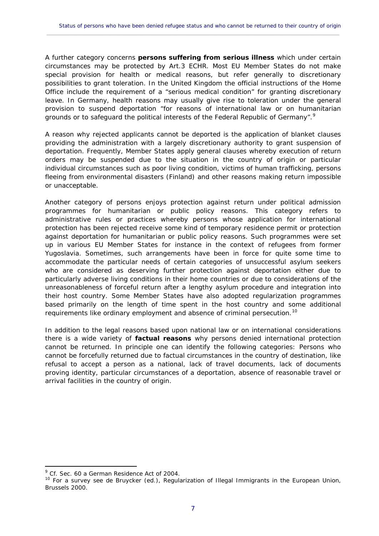A further category concerns **persons suffering from serious illness** which under certain circumstances may be protected by Art.3 ECHR. Most EU Member States do not make special provision for health or medical reasons, but refer generally to discretionary possibilities to grant toleration. In the United Kingdom the official instructions of the Home Office include the requirement of a "serious medical condition" for granting discretionary leave. In Germany, health reasons may usually give rise to toleration under the general provision to suspend deportation "for reasons of international law or on humanitarian grounds or to safeguard the political interests of the Federal Republic of Germany".<sup>[9](#page-8-0)</sup>

A reason why rejected applicants cannot be deported is the application of blanket clauses providing the administration with a largely discretionary authority to grant suspension of deportation. Frequently, Member States apply general clauses whereby execution of return orders may be suspended due to the situation in the country of origin or particular individual circumstances such as poor living condition, victims of human trafficking, persons fleeing from environmental disasters (Finland) and other reasons making return impossible or unacceptable.

Another category of persons enjoys protection against return under political admission programmes for humanitarian or public policy reasons. This category refers to administrative rules or practices whereby persons whose application for international protection has been rejected receive some kind of temporary residence permit or protection against deportation for humanitarian or public policy reasons. Such programmes were set up in various EU Member States for instance in the context of refugees from former Yugoslavia. Sometimes, such arrangements have been in force for quite some time to accommodate the particular needs of certain categories of unsuccessful asylum seekers who are considered as deserving further protection against deportation either due to particularly adverse living conditions in their home countries or due to considerations of the unreasonableness of forceful return after a lengthy asylum procedure and integration into their host country. Some Member States have also adopted regularization programmes based primarily on the length of time spent in the host country and some additional requirements like ordinary employment and absence of criminal persecution.<sup>[10](#page-8-1)</sup>

In addition to the legal reasons based upon national law or on international considerations there is a wide variety of **factual reasons** why persons denied international protection cannot be returned. In principle one can identify the following categories: Persons who cannot be forcefully returned due to factual circumstances in the country of destination, like refusal to accept a person as a national, lack of travel documents, lack of documents proving identity, particular circumstances of a deportation, absence of reasonable travel or arrival facilities in the country of origin.

1

<span id="page-8-0"></span><sup>&</sup>lt;sup>9</sup> Cf. Sec. 60 a German Residence Act of 2004.

<span id="page-8-1"></span><sup>&</sup>lt;sup>10</sup> For a survey see de Bruycker (ed.), Regularization of Illegal Immigrants in the European Union, Brussels 2000.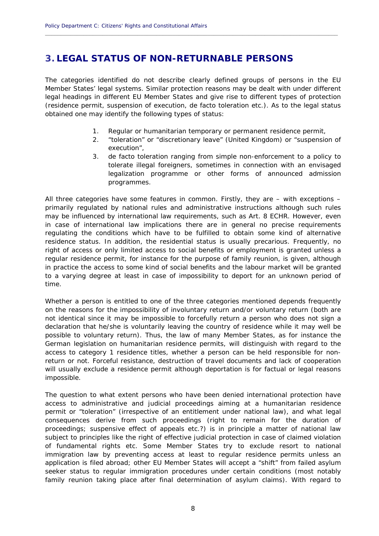## <span id="page-9-0"></span>**3. LEGAL STATUS OF NON-RETURNABLE PERSONS**

The categories identified do not describe clearly defined groups of persons in the EU Member States' legal systems. Similar protection reasons may be dealt with under different legal headings in different EU Member States and give rise to different types of protection (residence permit, suspension of execution, de facto toleration etc.). As to the legal status obtained one may identify the following types of status:

**\_\_\_\_\_\_\_\_\_\_\_\_\_\_\_\_\_\_\_\_\_\_\_\_\_\_\_\_\_\_\_\_\_\_\_\_\_\_\_\_\_\_\_\_\_\_\_\_\_\_\_\_\_\_\_\_\_\_\_\_\_\_\_\_\_\_\_\_\_\_\_\_\_\_\_\_\_\_\_\_\_\_\_\_\_\_\_\_\_\_\_\_**

- 1. Regular or humanitarian temporary or permanent residence permit,
- 2. "toleration" or "discretionary leave" (United Kingdom) or "suspension of execution",
- 3. de facto toleration ranging from simple non-enforcement to a policy to tolerate illegal foreigners, sometimes in connection with an envisaged legalization programme or other forms of announced admission programmes.

All three categories have some features in common. Firstly, they are – with exceptions – primarily regulated by national rules and administrative instructions although such rules may be influenced by international law requirements, such as Art. 8 ECHR. However, even in case of international law implications there are in general no precise requirements regulating the conditions which have to be fulfilled to obtain some kind of alternative residence status. In addition, the residential status is usually precarious. Frequently, no right of access or only limited access to social benefits or employment is granted unless a regular residence permit, for instance for the purpose of family reunion, is given, although in practice the access to some kind of social benefits and the labour market will be granted to a varying degree at least in case of impossibility to deport for an unknown period of time.

Whether a person is entitled to one of the three categories mentioned depends frequently on the reasons for the impossibility of involuntary return and/or voluntary return (both are not identical since it may be impossible to forcefully return a person who does not sign a declaration that he/she is voluntarily leaving the country of residence while it may well be possible to voluntary return). Thus, the law of many Member States, as for instance the German legislation on humanitarian residence permits, will distinguish with regard to the access to category 1 residence titles, whether a person can be held responsible for nonreturn or not. Forceful resistance, destruction of travel documents and lack of cooperation will usually exclude a residence permit although deportation is for factual or legal reasons impossible.

The question to what extent persons who have been denied international protection have access to administrative and judicial proceedings aiming at a humanitarian residence permit or "toleration" (irrespective of an entitlement under national law), and what legal consequences derive from such proceedings (right to remain for the duration of proceedings; suspensive effect of appeals etc.?) is in principle a matter of national law subject to principles like the right of effective judicial protection in case of claimed violation of fundamental rights etc. Some Member States try to exclude resort to national immigration law by preventing access at least to regular residence permits unless an application is filed abroad; other EU Member States will accept a "shift" from failed asylum seeker status to regular immigration procedures under certain conditions (most notably family reunion taking place after final determination of asylum claims). With regard to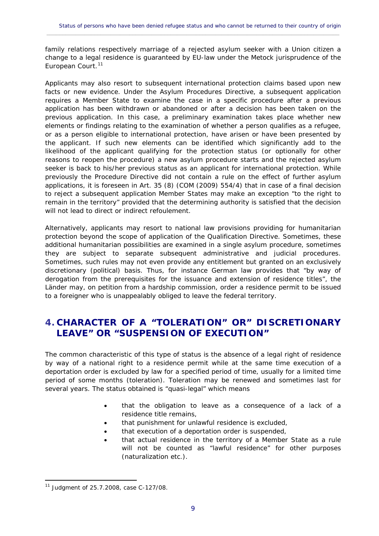family relations respectively marriage of a rejected asylum seeker with a Union citizen a change to a legal residence is guaranteed by EU-law under the Metock jurisprudence of the European Court.<sup>[11](#page-10-1)</sup>

 $\_$  , and the set of the set of the set of the set of the set of the set of the set of the set of the set of the set of the set of the set of the set of the set of the set of the set of the set of the set of the set of th

Applicants may also resort to subsequent international protection claims based upon new facts or new evidence. Under the Asylum Procedures Directive, a subsequent application requires a Member State to examine the case in a specific procedure after a previous application has been withdrawn or abandoned or after a decision has been taken on the previous application. In this case, a preliminary examination takes place whether new elements or findings relating to the examination of whether a person qualifies as a refugee, or as a person eligible to international protection, have arisen or have been presented by the applicant. If such new elements can be identified which significantly add to the likelihood of the applicant qualifying for the protection status (or optionally for other reasons to reopen the procedure) a new asylum procedure starts and the rejected asylum seeker is back to his/her previous status as an applicant for international protection. While previously the Procedure Directive did not contain a rule on the effect of further asylum applications, it is foreseen in Art. 35 (8) (COM (2009) 554/4) that in case of a final decision to reject a subsequent application Member States may make an exception "to the right to remain in the territory" provided that the determining authority is satisfied that the decision will not lead to direct or indirect refoulement.

Alternatively, applicants may resort to national law provisions providing for humanitarian protection beyond the scope of application of the Qualification Directive. Sometimes, these additional humanitarian possibilities are examined in a single asylum procedure, sometimes they are subject to separate subsequent administrative and judicial procedures. Sometimes, such rules may not even provide any entitlement but granted on an exclusively discretionary (political) basis. Thus, for instance German law provides that "by way of derogation from the prerequisites for the issuance and extension of residence titles", the Länder may, on petition from a hardship commission, order a residence permit to be issued to a foreigner who is unappealably obliged to leave the federal territory.

# <span id="page-10-0"></span>**4. CHARACTER OF A "TOLERATION" OR" DISCRETIONARY LEAVE" OR "SUSPENSION OF EXECUTION"**

The common characteristic of this type of status is the absence of a legal right of residence by way of a national right to a residence permit while at the same time execution of a deportation order is excluded by law for a specified period of time, usually for a limited time period of some months (toleration). Toleration may be renewed and sometimes last for several years. The status obtained is "quasi-legal" which means

- that the obligation to leave as a consequence of a lack of a residence title remains,
- that punishment for unlawful residence is excluded,
- that execution of a deportation order is suspended,
- that actual residence in the territory of a Member State as a rule will not be counted as "lawful residence" for other purposes (naturalization etc.).

<span id="page-10-1"></span><sup>11</sup> Judgment of 25.7.2008, case C-127/08.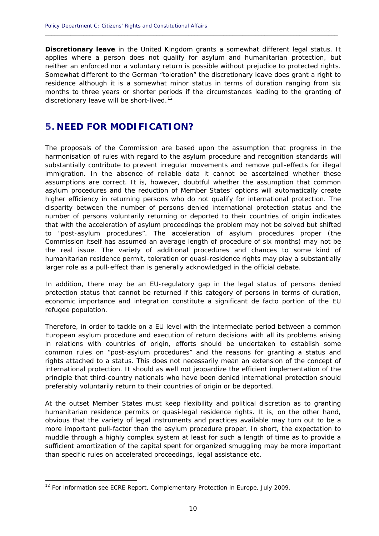**Discretionary leave** in the United Kingdom grants a somewhat different legal status. It applies where a person does not qualify for asylum and humanitarian protection, but neither an enforced nor a voluntary return is possible without prejudice to protected rights. Somewhat different to the German "toleration" the discretionary leave does grant a right to residence although it is a somewhat minor status in terms of duration ranging from six months to three years or shorter periods if the circumstances leading to the granting of discretionary leave will be short-lived.<sup>[12](#page-11-1)</sup>

**\_\_\_\_\_\_\_\_\_\_\_\_\_\_\_\_\_\_\_\_\_\_\_\_\_\_\_\_\_\_\_\_\_\_\_\_\_\_\_\_\_\_\_\_\_\_\_\_\_\_\_\_\_\_\_\_\_\_\_\_\_\_\_\_\_\_\_\_\_\_\_\_\_\_\_\_\_\_\_\_\_\_\_\_\_\_\_\_\_\_\_\_**

#### <span id="page-11-0"></span>**5. NEED FOR MODIFICATION?**

The proposals of the Commission are based upon the assumption that progress in the harmonisation of rules with regard to the asylum procedure and recognition standards will substantially contribute to prevent irregular movements and remove pull-effects for illegal immigration. In the absence of reliable data it cannot be ascertained whether these assumptions are correct. It is, however, doubtful whether the assumption that common asylum procedures and the reduction of Member States' options will automatically create higher efficiency in returning persons who do not qualify for international protection. The disparity between the number of persons denied international protection status and the number of persons voluntarily returning or deported to their countries of origin indicates that with the acceleration of asylum proceedings the problem may not be solved but shifted to "post-asylum procedures". The acceleration of asylum procedures proper (the Commission itself has assumed an average length of procedure of six months) may not be the real issue. The variety of additional procedures and chances to some kind of humanitarian residence permit, toleration or quasi-residence rights may play a substantially larger role as a pull-effect than is generally acknowledged in the official debate.

In addition, there may be an EU-regulatory gap in the legal status of persons denied protection status that cannot be returned if this category of persons in terms of duration, economic importance and integration constitute a significant de facto portion of the EU refugee population.

Therefore, in order to tackle on a EU level with the intermediate period between a common European asylum procedure and execution of return decisions with all its problems arising in relations with countries of origin, efforts should be undertaken to establish some common rules on "post-asylum procedures" and the reasons for granting a status and rights attached to a status. This does not necessarily mean an extension of the concept of international protection. It should as well not jeopardize the efficient implementation of the principle that third-country nationals who have been denied international protection should preferably voluntarily return to their countries of origin or be deported.

At the outset Member States must keep flexibility and political discretion as to granting humanitarian residence permits or quasi-legal residence rights. It is, on the other hand, obvious that the variety of legal instruments and practices available may turn out to be a more important pull-factor than the asylum procedure proper. In short, the expectation to muddle through a highly complex system at least for such a length of time as to provide a sufficient amortization of the capital spent for organized smuggling may be more important than specific rules on accelerated proceedings, legal assistance etc.

<span id="page-11-1"></span> $12$  For information see ECRE Report, Complementary Protection in Europe, July 2009.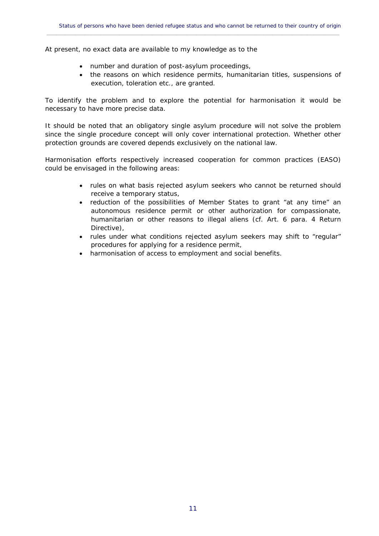At present, no exact data are available to my knowledge as to the

- number and duration of post-asylum proceedings,
- the reasons on which residence permits, humanitarian titles, suspensions of execution, toleration etc., are granted.

To identify the problem and to explore the potential for harmonisation it would be necessary to have more precise data.

It should be noted that an obligatory single asylum procedure will not solve the problem since the single procedure concept will only cover international protection. Whether other protection grounds are covered depends exclusively on the national law.

Harmonisation efforts respectively increased cooperation for common practices (EASO) could be envisaged in the following areas:

- rules on what basis rejected asylum seekers who cannot be returned should receive a temporary status,
- reduction of the possibilities of Member States to grant "at any time" an autonomous residence permit or other authorization for compassionate, humanitarian or other reasons to illegal aliens (cf. Art. 6 para. 4 Return Directive),
- rules under what conditions rejected asylum seekers may shift to "regular" procedures for applying for a residence permit,
- harmonisation of access to employment and social benefits.